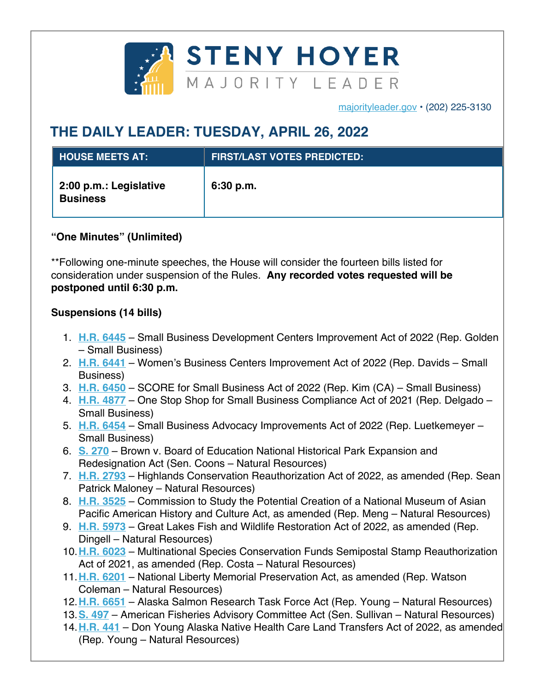

majorityleader.gov • (202) 225-3130

## **THE DAILY LEADER: TUESDAY, APRIL 26, 2022**

| <b>L HOUSE MEETS AT:</b>                  | <b>FIRST/LAST VOTES PREDICTED:</b> |
|-------------------------------------------|------------------------------------|
| 2:00 p.m.: Legislative<br><b>Business</b> | 6:30 p.m.                          |

## **"One Minutes" (Unlimited)**

\*\*Following one-minute speeches, the House will consider the fourteen bills listed for consideration under suspension of the Rules. **Any recorded votes requested will be postponed until 6:30 p.m.**

## **Suspensions (14 bills)**

- 1. **H.R. 6445** Small Business Development Centers Improvement Act of 2022 (Rep. Golden – Small Business)
- 2. **H.R. 6441** Women's Business Centers Improvement Act of 2022 (Rep. Davids Small Business)
- 3. **H.R. 6450** SCORE for Small Business Act of 2022 (Rep. Kim (CA) Small Business)
- 4. **H.R. 4877** One Stop Shop for Small Business Compliance Act of 2021 (Rep. Delgado Small Business)
- 5. **H.R. 6454** Small Business Advocacy Improvements Act of 2022 (Rep. Luetkemeyer Small Business)
- 6. **S. 270** Brown v. Board of Education National Historical Park Expansion and Redesignation Act (Sen. Coons – Natural Resources)
- 7. **H.R. 2793** Highlands Conservation Reauthorization Act of 2022, as amended (Rep. Sean Patrick Maloney – Natural Resources)
- 8. **H.R. 3525** Commission to Study the Potential Creation of a National Museum of Asian Pacific American History and Culture Act, as amended (Rep. Meng – Natural Resources)
- 9. **H.R. 5973** Great Lakes Fish and Wildlife Restoration Act of 2022, as amended (Rep. Dingell – Natural Resources)
- 10.**H.R. 6023** Multinational Species Conservation Funds Semipostal Stamp Reauthorization Act of 2021, as amended (Rep. Costa – Natural Resources)
- 11.**H.R. 6201** National Liberty Memorial Preservation Act, as amended (Rep. Watson Coleman – Natural Resources)
- 12.**H.R. 6651** Alaska Salmon Research Task Force Act (Rep. Young Natural Resources)
- 13.**S. 497** American Fisheries Advisory Committee Act (Sen. Sullivan Natural Resources)
- 14.**H.R. 441** Don Young Alaska Native Health Care Land Transfers Act of 2022, as amended (Rep. Young – Natural Resources)